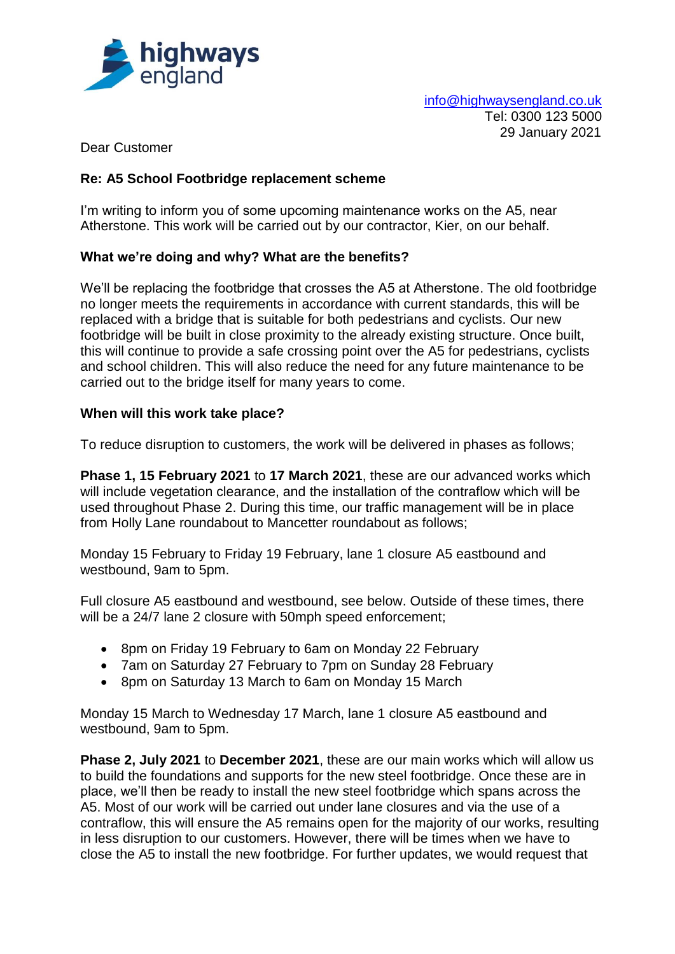

info@highwaysengland.co.uk Tel: 0300 123 5000 29 January 2021

Dear Customer

# **Re: A5 School Footbridge replacement scheme**

I'm writing to inform you of some upcoming maintenance works on the A5, near Atherstone. This work will be carried out by our contractor, Kier, on our behalf.

### **What we're doing and why? What are the benefits?**

We'll be replacing the footbridge that crosses the A5 at Atherstone. The old footbridge no longer meets the requirements in accordance with current standards, this will be replaced with a bridge that is suitable for both pedestrians and cyclists. Our new footbridge will be built in close proximity to the already existing structure. Once built, this will continue to provide a safe crossing point over the A5 for pedestrians, cyclists and school children. This will also reduce the need for any future maintenance to be carried out to the bridge itself for many years to come.

### **When will this work take place?**

To reduce disruption to customers, the work will be delivered in phases as follows;

**Phase 1, 15 February 2021** to **17 March 2021**, these are our advanced works which will include vegetation clearance, and the installation of the contraflow which will be used throughout Phase 2. During this time, our traffic management will be in place from Holly Lane roundabout to Mancetter roundabout as follows;

Monday 15 February to Friday 19 February, lane 1 closure A5 eastbound and westbound, 9am to 5pm.

Full closure A5 eastbound and westbound, see below. Outside of these times, there will be a 24/7 lane 2 closure with 50mph speed enforcement;

- 8pm on Friday 19 February to 6am on Monday 22 February
- 7am on Saturday 27 February to 7pm on Sunday 28 February
- 8pm on Saturday 13 March to 6am on Monday 15 March

Monday 15 March to Wednesday 17 March, lane 1 closure A5 eastbound and westbound, 9am to 5pm.

**Phase 2, July 2021** to **December 2021**, these are our main works which will allow us to build the foundations and supports for the new steel footbridge. Once these are in place, we'll then be ready to install the new steel footbridge which spans across the A5. Most of our work will be carried out under lane closures and via the use of a contraflow, this will ensure the A5 remains open for the majority of our works, resulting in less disruption to our customers. However, there will be times when we have to close the A5 to install the new footbridge. For further updates, we would request that